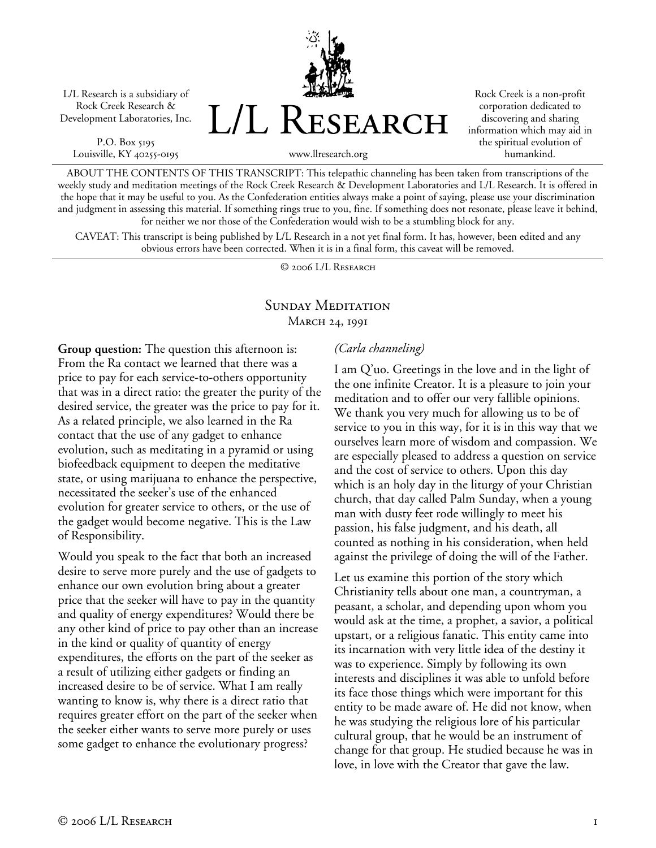L/L Research is a subsidiary of Rock Creek Research & Development Laboratories, Inc.

P.O. Box 5195 Louisville, KY 40255-0195



Rock Creek is a non-profit corporation dedicated to discovering and sharing information which may aid in the spiritual evolution of humankind.

www.llresearch.org

ABOUT THE CONTENTS OF THIS TRANSCRIPT: This telepathic channeling has been taken from transcriptions of the weekly study and meditation meetings of the Rock Creek Research & Development Laboratories and L/L Research. It is offered in the hope that it may be useful to you. As the Confederation entities always make a point of saying, please use your discrimination and judgment in assessing this material. If something rings true to you, fine. If something does not resonate, please leave it behind, for neither we nor those of the Confederation would wish to be a stumbling block for any.

CAVEAT: This transcript is being published by L/L Research in a not yet final form. It has, however, been edited and any obvious errors have been corrected. When it is in a final form, this caveat will be removed.

© 2006 L/L Research

## SUNDAY MEDITATION MARCH 24, 1991

**Group question:** The question this afternoon is: From the Ra contact we learned that there was a price to pay for each service-to-others opportunity that was in a direct ratio: the greater the purity of the desired service, the greater was the price to pay for it. As a related principle, we also learned in the Ra contact that the use of any gadget to enhance evolution, such as meditating in a pyramid or using biofeedback equipment to deepen the meditative state, or using marijuana to enhance the perspective, necessitated the seeker's use of the enhanced evolution for greater service to others, or the use of the gadget would become negative. This is the Law of Responsibility.

Would you speak to the fact that both an increased desire to serve more purely and the use of gadgets to enhance our own evolution bring about a greater price that the seeker will have to pay in the quantity and quality of energy expenditures? Would there be any other kind of price to pay other than an increase in the kind or quality of quantity of energy expenditures, the efforts on the part of the seeker as a result of utilizing either gadgets or finding an increased desire to be of service. What I am really wanting to know is, why there is a direct ratio that requires greater effort on the part of the seeker when the seeker either wants to serve more purely or uses some gadget to enhance the evolutionary progress?

## *(Carla channeling)*

I am Q'uo. Greetings in the love and in the light of the one infinite Creator. It is a pleasure to join your meditation and to offer our very fallible opinions. We thank you very much for allowing us to be of service to you in this way, for it is in this way that we ourselves learn more of wisdom and compassion. We are especially pleased to address a question on service and the cost of service to others. Upon this day which is an holy day in the liturgy of your Christian church, that day called Palm Sunday, when a young man with dusty feet rode willingly to meet his passion, his false judgment, and his death, all counted as nothing in his consideration, when held against the privilege of doing the will of the Father.

Let us examine this portion of the story which Christianity tells about one man, a countryman, a peasant, a scholar, and depending upon whom you would ask at the time, a prophet, a savior, a political upstart, or a religious fanatic. This entity came into its incarnation with very little idea of the destiny it was to experience. Simply by following its own interests and disciplines it was able to unfold before its face those things which were important for this entity to be made aware of. He did not know, when he was studying the religious lore of his particular cultural group, that he would be an instrument of change for that group. He studied because he was in love, in love with the Creator that gave the law.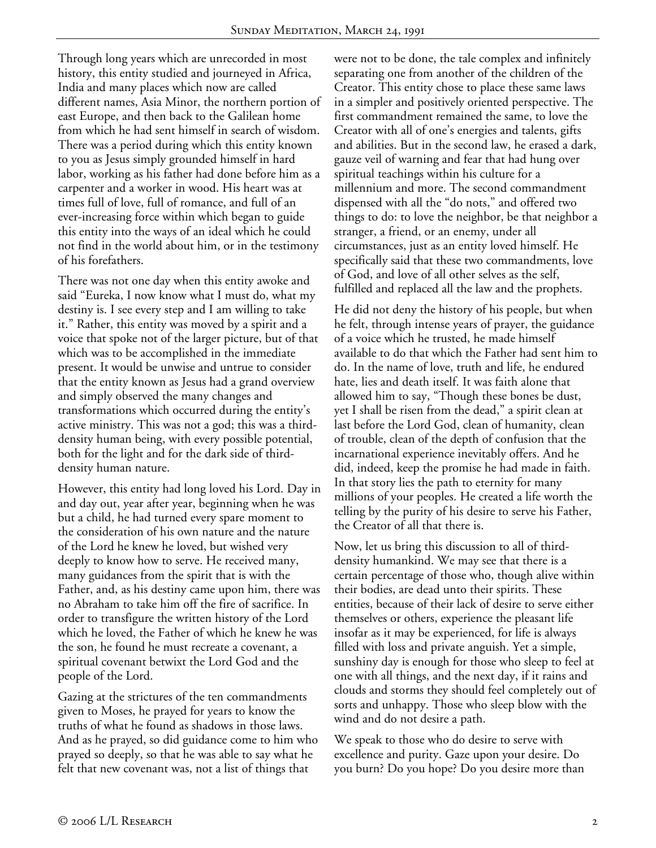Through long years which are unrecorded in most history, this entity studied and journeyed in Africa, India and many places which now are called different names, Asia Minor, the northern portion of east Europe, and then back to the Galilean home from which he had sent himself in search of wisdom. There was a period during which this entity known to you as Jesus simply grounded himself in hard labor, working as his father had done before him as a carpenter and a worker in wood. His heart was at times full of love, full of romance, and full of an ever-increasing force within which began to guide this entity into the ways of an ideal which he could not find in the world about him, or in the testimony of his forefathers.

There was not one day when this entity awoke and said "Eureka, I now know what I must do, what my destiny is. I see every step and I am willing to take it." Rather, this entity was moved by a spirit and a voice that spoke not of the larger picture, but of that which was to be accomplished in the immediate present. It would be unwise and untrue to consider that the entity known as Jesus had a grand overview and simply observed the many changes and transformations which occurred during the entity's active ministry. This was not a god; this was a thirddensity human being, with every possible potential, both for the light and for the dark side of thirddensity human nature.

However, this entity had long loved his Lord. Day in and day out, year after year, beginning when he was but a child, he had turned every spare moment to the consideration of his own nature and the nature of the Lord he knew he loved, but wished very deeply to know how to serve. He received many, many guidances from the spirit that is with the Father, and, as his destiny came upon him, there was no Abraham to take him off the fire of sacrifice. In order to transfigure the written history of the Lord which he loved, the Father of which he knew he was the son, he found he must recreate a covenant, a spiritual covenant betwixt the Lord God and the people of the Lord.

Gazing at the strictures of the ten commandments given to Moses, he prayed for years to know the truths of what he found as shadows in those laws. And as he prayed, so did guidance come to him who prayed so deeply, so that he was able to say what he felt that new covenant was, not a list of things that

were not to be done, the tale complex and infinitely separating one from another of the children of the Creator. This entity chose to place these same laws in a simpler and positively oriented perspective. The first commandment remained the same, to love the Creator with all of one's energies and talents, gifts and abilities. But in the second law, he erased a dark, gauze veil of warning and fear that had hung over spiritual teachings within his culture for a millennium and more. The second commandment dispensed with all the "do nots," and offered two things to do: to love the neighbor, be that neighbor a stranger, a friend, or an enemy, under all circumstances, just as an entity loved himself. He specifically said that these two commandments, love of God, and love of all other selves as the self, fulfilled and replaced all the law and the prophets.

He did not deny the history of his people, but when he felt, through intense years of prayer, the guidance of a voice which he trusted, he made himself available to do that which the Father had sent him to do. In the name of love, truth and life, he endured hate, lies and death itself. It was faith alone that allowed him to say, "Though these bones be dust, yet I shall be risen from the dead," a spirit clean at last before the Lord God, clean of humanity, clean of trouble, clean of the depth of confusion that the incarnational experience inevitably offers. And he did, indeed, keep the promise he had made in faith. In that story lies the path to eternity for many millions of your peoples. He created a life worth the telling by the purity of his desire to serve his Father, the Creator of all that there is.

Now, let us bring this discussion to all of thirddensity humankind. We may see that there is a certain percentage of those who, though alive within their bodies, are dead unto their spirits. These entities, because of their lack of desire to serve either themselves or others, experience the pleasant life insofar as it may be experienced, for life is always filled with loss and private anguish. Yet a simple, sunshiny day is enough for those who sleep to feel at one with all things, and the next day, if it rains and clouds and storms they should feel completely out of sorts and unhappy. Those who sleep blow with the wind and do not desire a path.

We speak to those who do desire to serve with excellence and purity. Gaze upon your desire. Do you burn? Do you hope? Do you desire more than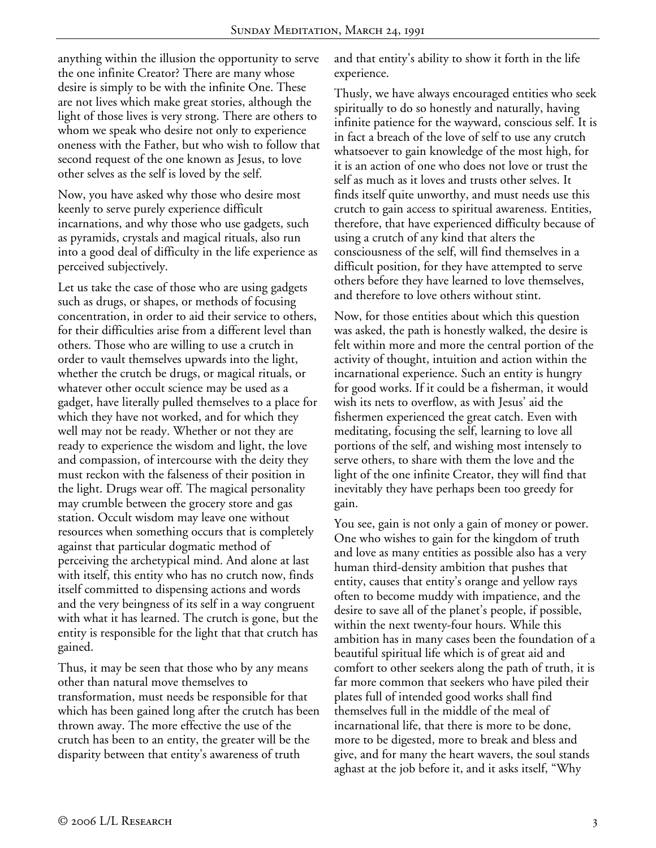anything within the illusion the opportunity to serve the one infinite Creator? There are many whose desire is simply to be with the infinite One. These are not lives which make great stories, although the light of those lives is very strong. There are others to whom we speak who desire not only to experience oneness with the Father, but who wish to follow that second request of the one known as Jesus, to love other selves as the self is loved by the self.

Now, you have asked why those who desire most keenly to serve purely experience difficult incarnations, and why those who use gadgets, such as pyramids, crystals and magical rituals, also run into a good deal of difficulty in the life experience as perceived subjectively.

Let us take the case of those who are using gadgets such as drugs, or shapes, or methods of focusing concentration, in order to aid their service to others, for their difficulties arise from a different level than others. Those who are willing to use a crutch in order to vault themselves upwards into the light, whether the crutch be drugs, or magical rituals, or whatever other occult science may be used as a gadget, have literally pulled themselves to a place for which they have not worked, and for which they well may not be ready. Whether or not they are ready to experience the wisdom and light, the love and compassion, of intercourse with the deity they must reckon with the falseness of their position in the light. Drugs wear off. The magical personality may crumble between the grocery store and gas station. Occult wisdom may leave one without resources when something occurs that is completely against that particular dogmatic method of perceiving the archetypical mind. And alone at last with itself, this entity who has no crutch now, finds itself committed to dispensing actions and words and the very beingness of its self in a way congruent with what it has learned. The crutch is gone, but the entity is responsible for the light that that crutch has gained.

Thus, it may be seen that those who by any means other than natural move themselves to transformation, must needs be responsible for that which has been gained long after the crutch has been thrown away. The more effective the use of the crutch has been to an entity, the greater will be the disparity between that entity's awareness of truth

and that entity's ability to show it forth in the life experience.

Thusly, we have always encouraged entities who seek spiritually to do so honestly and naturally, having infinite patience for the wayward, conscious self. It is in fact a breach of the love of self to use any crutch whatsoever to gain knowledge of the most high, for it is an action of one who does not love or trust the self as much as it loves and trusts other selves. It finds itself quite unworthy, and must needs use this crutch to gain access to spiritual awareness. Entities, therefore, that have experienced difficulty because of using a crutch of any kind that alters the consciousness of the self, will find themselves in a difficult position, for they have attempted to serve others before they have learned to love themselves, and therefore to love others without stint.

Now, for those entities about which this question was asked, the path is honestly walked, the desire is felt within more and more the central portion of the activity of thought, intuition and action within the incarnational experience. Such an entity is hungry for good works. If it could be a fisherman, it would wish its nets to overflow, as with Jesus' aid the fishermen experienced the great catch. Even with meditating, focusing the self, learning to love all portions of the self, and wishing most intensely to serve others, to share with them the love and the light of the one infinite Creator, they will find that inevitably they have perhaps been too greedy for gain.

You see, gain is not only a gain of money or power. One who wishes to gain for the kingdom of truth and love as many entities as possible also has a very human third-density ambition that pushes that entity, causes that entity's orange and yellow rays often to become muddy with impatience, and the desire to save all of the planet's people, if possible, within the next twenty-four hours. While this ambition has in many cases been the foundation of a beautiful spiritual life which is of great aid and comfort to other seekers along the path of truth, it is far more common that seekers who have piled their plates full of intended good works shall find themselves full in the middle of the meal of incarnational life, that there is more to be done, more to be digested, more to break and bless and give, and for many the heart wavers, the soul stands aghast at the job before it, and it asks itself, "Why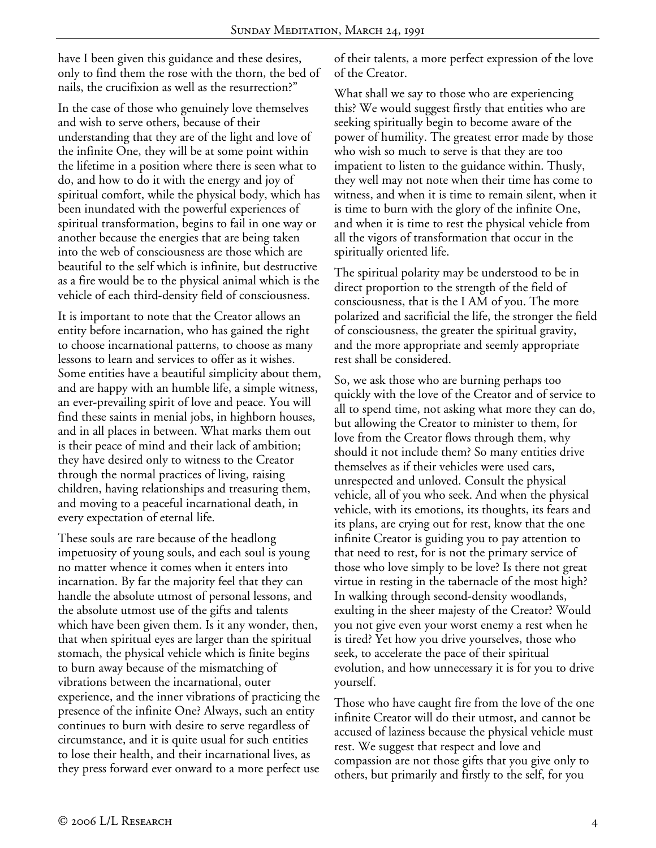have I been given this guidance and these desires, only to find them the rose with the thorn, the bed of nails, the crucifixion as well as the resurrection?"

In the case of those who genuinely love themselves and wish to serve others, because of their understanding that they are of the light and love of the infinite One, they will be at some point within the lifetime in a position where there is seen what to do, and how to do it with the energy and joy of spiritual comfort, while the physical body, which has been inundated with the powerful experiences of spiritual transformation, begins to fail in one way or another because the energies that are being taken into the web of consciousness are those which are beautiful to the self which is infinite, but destructive as a fire would be to the physical animal which is the vehicle of each third-density field of consciousness.

It is important to note that the Creator allows an entity before incarnation, who has gained the right to choose incarnational patterns, to choose as many lessons to learn and services to offer as it wishes. Some entities have a beautiful simplicity about them, and are happy with an humble life, a simple witness, an ever-prevailing spirit of love and peace. You will find these saints in menial jobs, in highborn houses, and in all places in between. What marks them out is their peace of mind and their lack of ambition; they have desired only to witness to the Creator through the normal practices of living, raising children, having relationships and treasuring them, and moving to a peaceful incarnational death, in every expectation of eternal life.

These souls are rare because of the headlong impetuosity of young souls, and each soul is young no matter whence it comes when it enters into incarnation. By far the majority feel that they can handle the absolute utmost of personal lessons, and the absolute utmost use of the gifts and talents which have been given them. Is it any wonder, then, that when spiritual eyes are larger than the spiritual stomach, the physical vehicle which is finite begins to burn away because of the mismatching of vibrations between the incarnational, outer experience, and the inner vibrations of practicing the presence of the infinite One? Always, such an entity continues to burn with desire to serve regardless of circumstance, and it is quite usual for such entities to lose their health, and their incarnational lives, as they press forward ever onward to a more perfect use

of their talents, a more perfect expression of the love of the Creator.

What shall we say to those who are experiencing this? We would suggest firstly that entities who are seeking spiritually begin to become aware of the power of humility. The greatest error made by those who wish so much to serve is that they are too impatient to listen to the guidance within. Thusly, they well may not note when their time has come to witness, and when it is time to remain silent, when it is time to burn with the glory of the infinite One, and when it is time to rest the physical vehicle from all the vigors of transformation that occur in the spiritually oriented life.

The spiritual polarity may be understood to be in direct proportion to the strength of the field of consciousness, that is the I AM of you. The more polarized and sacrificial the life, the stronger the field of consciousness, the greater the spiritual gravity, and the more appropriate and seemly appropriate rest shall be considered.

So, we ask those who are burning perhaps too quickly with the love of the Creator and of service to all to spend time, not asking what more they can do, but allowing the Creator to minister to them, for love from the Creator flows through them, why should it not include them? So many entities drive themselves as if their vehicles were used cars, unrespected and unloved. Consult the physical vehicle, all of you who seek. And when the physical vehicle, with its emotions, its thoughts, its fears and its plans, are crying out for rest, know that the one infinite Creator is guiding you to pay attention to that need to rest, for is not the primary service of those who love simply to be love? Is there not great virtue in resting in the tabernacle of the most high? In walking through second-density woodlands, exulting in the sheer majesty of the Creator? Would you not give even your worst enemy a rest when he is tired? Yet how you drive yourselves, those who seek, to accelerate the pace of their spiritual evolution, and how unnecessary it is for you to drive yourself.

Those who have caught fire from the love of the one infinite Creator will do their utmost, and cannot be accused of laziness because the physical vehicle must rest. We suggest that respect and love and compassion are not those gifts that you give only to others, but primarily and firstly to the self, for you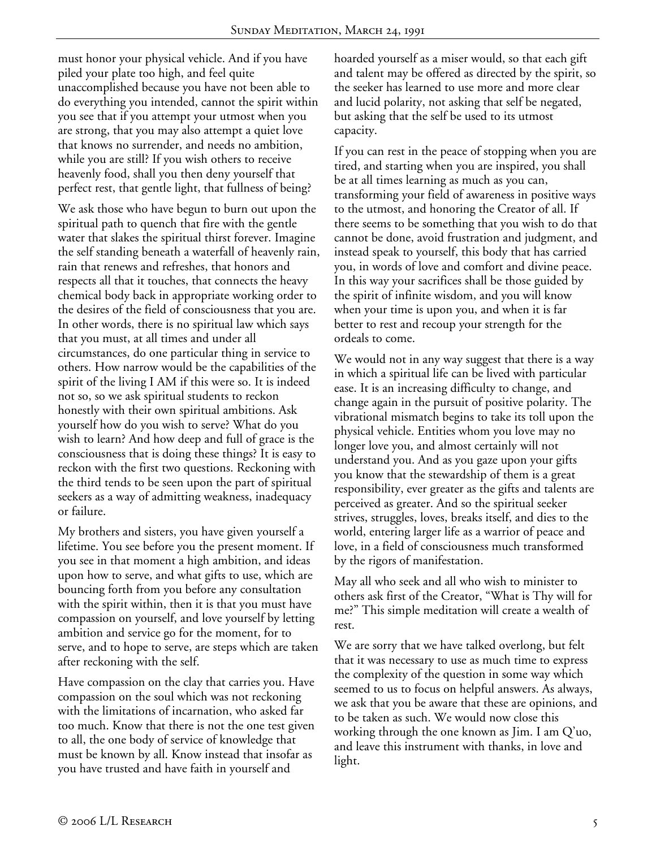must honor your physical vehicle. And if you have piled your plate too high, and feel quite unaccomplished because you have not been able to do everything you intended, cannot the spirit within you see that if you attempt your utmost when you are strong, that you may also attempt a quiet love that knows no surrender, and needs no ambition, while you are still? If you wish others to receive heavenly food, shall you then deny yourself that perfect rest, that gentle light, that fullness of being?

We ask those who have begun to burn out upon the spiritual path to quench that fire with the gentle water that slakes the spiritual thirst forever. Imagine the self standing beneath a waterfall of heavenly rain, rain that renews and refreshes, that honors and respects all that it touches, that connects the heavy chemical body back in appropriate working order to the desires of the field of consciousness that you are. In other words, there is no spiritual law which says that you must, at all times and under all circumstances, do one particular thing in service to others. How narrow would be the capabilities of the spirit of the living I AM if this were so. It is indeed not so, so we ask spiritual students to reckon honestly with their own spiritual ambitions. Ask yourself how do you wish to serve? What do you wish to learn? And how deep and full of grace is the consciousness that is doing these things? It is easy to reckon with the first two questions. Reckoning with the third tends to be seen upon the part of spiritual seekers as a way of admitting weakness, inadequacy or failure.

My brothers and sisters, you have given yourself a lifetime. You see before you the present moment. If you see in that moment a high ambition, and ideas upon how to serve, and what gifts to use, which are bouncing forth from you before any consultation with the spirit within, then it is that you must have compassion on yourself, and love yourself by letting ambition and service go for the moment, for to serve, and to hope to serve, are steps which are taken after reckoning with the self.

Have compassion on the clay that carries you. Have compassion on the soul which was not reckoning with the limitations of incarnation, who asked far too much. Know that there is not the one test given to all, the one body of service of knowledge that must be known by all. Know instead that insofar as you have trusted and have faith in yourself and

hoarded yourself as a miser would, so that each gift and talent may be offered as directed by the spirit, so the seeker has learned to use more and more clear and lucid polarity, not asking that self be negated, but asking that the self be used to its utmost capacity.

If you can rest in the peace of stopping when you are tired, and starting when you are inspired, you shall be at all times learning as much as you can, transforming your field of awareness in positive ways to the utmost, and honoring the Creator of all. If there seems to be something that you wish to do that cannot be done, avoid frustration and judgment, and instead speak to yourself, this body that has carried you, in words of love and comfort and divine peace. In this way your sacrifices shall be those guided by the spirit of infinite wisdom, and you will know when your time is upon you, and when it is far better to rest and recoup your strength for the ordeals to come.

We would not in any way suggest that there is a way in which a spiritual life can be lived with particular ease. It is an increasing difficulty to change, and change again in the pursuit of positive polarity. The vibrational mismatch begins to take its toll upon the physical vehicle. Entities whom you love may no longer love you, and almost certainly will not understand you. And as you gaze upon your gifts you know that the stewardship of them is a great responsibility, ever greater as the gifts and talents are perceived as greater. And so the spiritual seeker strives, struggles, loves, breaks itself, and dies to the world, entering larger life as a warrior of peace and love, in a field of consciousness much transformed by the rigors of manifestation.

May all who seek and all who wish to minister to others ask first of the Creator, "What is Thy will for me?" This simple meditation will create a wealth of rest.

We are sorry that we have talked overlong, but felt that it was necessary to use as much time to express the complexity of the question in some way which seemed to us to focus on helpful answers. As always, we ask that you be aware that these are opinions, and to be taken as such. We would now close this working through the one known as Jim. I am Q'uo, and leave this instrument with thanks, in love and light.